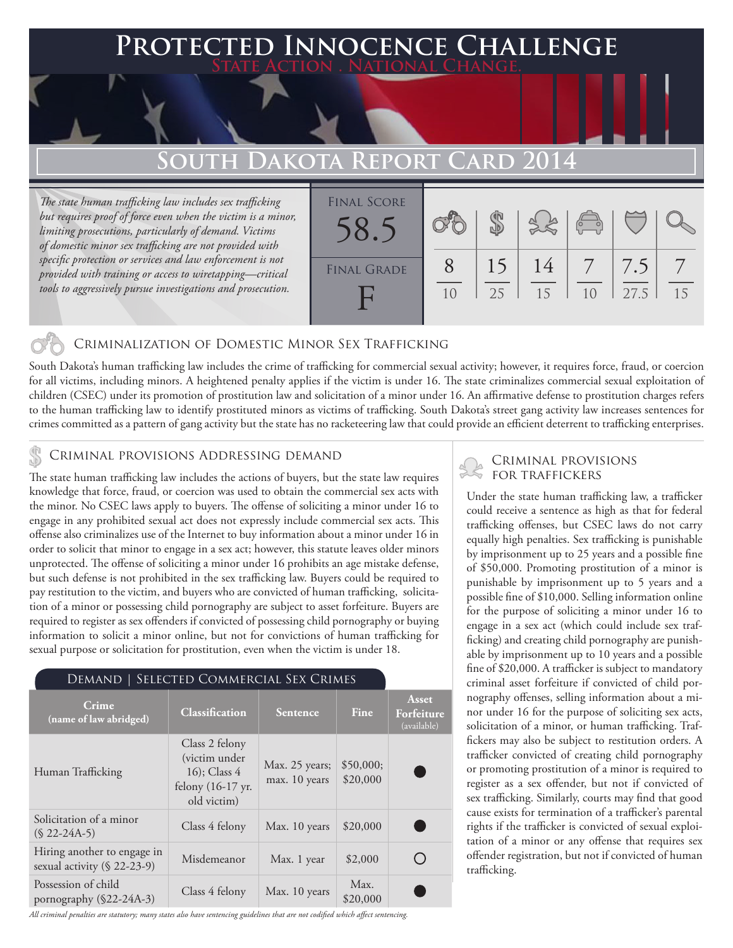# **FED INNOCENCE CHALLENGE State Action . National Change.**

# **South Dakota Report Card 2014**

*The state human trafficking law includes sex trafficking but requires proof of force even when the victim is a minor, limiting prosecutions, particularly of demand. Victims of domestic minor sex trafficking are not provided with specific protection or services and law enforcement is not provided with training or access to wiretapping—critical tools to aggressively pursue investigations and prosecution.*



## Criminalization of Domestic Minor Sex Trafficking

South Dakota's human trafficking law includes the crime of trafficking for commercial sexual activity; however, it requires force, fraud, or coercion for all victims, including minors. A heightened penalty applies if the victim is under 16. The state criminalizes commercial sexual exploitation of children (CSEC) under its promotion of prostitution law and solicitation of a minor under 16. An affirmative defense to prostitution charges refers to the human trafficking law to identify prostituted minors as victims of trafficking. South Dakota's street gang activity law increases sentences for crimes committed as a pattern of gang activity but the state has no racketeering law that could provide an efficient deterrent to trafficking enterprises.

## Criminal provisions Addressing demand

The state human trafficking law includes the actions of buyers, but the state law requires knowledge that force, fraud, or coercion was used to obtain the commercial sex acts with the minor. No CSEC laws apply to buyers. The offense of soliciting a minor under 16 to engage in any prohibited sexual act does not expressly include commercial sex acts. This offense also criminalizes use of the Internet to buy information about a minor under 16 in order to solicit that minor to engage in a sex act; however, this statute leaves older minors unprotected. The offense of soliciting a minor under 16 prohibits an age mistake defense, but such defense is not prohibited in the sex trafficking law. Buyers could be required to pay restitution to the victim, and buyers who are convicted of human trafficking, solicitation of a minor or possessing child pornography are subject to asset forfeiture. Buyers are required to register as sex offenders if convicted of possessing child pornography or buying information to solicit a minor online, but not for convictions of human trafficking for sexual purpose or solicitation for prostitution, even when the victim is under 18.

#### Demand | Selected Commercial Sex Crimes

| Crime<br>(name of law abridged)                            | Classification                                                                        | Sentence                        | Fine                  | Asset<br>Forfeiture<br>(available) |
|------------------------------------------------------------|---------------------------------------------------------------------------------------|---------------------------------|-----------------------|------------------------------------|
| Human Trafficking                                          | Class 2 felony<br>(victim under<br>$16$ ; Class 4<br>felony (16-17 yr.<br>old victim) | Max. 25 years;<br>max. 10 years | \$50,000;<br>\$20,000 |                                    |
| Solicitation of a minor<br>$(S 22-24A-5)$                  | Class 4 felony                                                                        | Max. 10 years                   | \$20,000              |                                    |
| Hiring another to engage in<br>sexual activity (§ 22-23-9) | Misdemeanor                                                                           | Max. 1 year                     | \$2,000               |                                    |
| Possession of child<br>pornography $(\$22-24A-3)$          | Class 4 felony                                                                        | Max. 10 years                   | Max.<br>\$20,000      |                                    |

*All criminal penalties are statutory; many states also have sentencing guidelines that are not codified which affect sentencing.* 

# Criminal provisions for traffickers

Under the state human trafficking law, a trafficker could receive a sentence as high as that for federal trafficking offenses, but CSEC laws do not carry equally high penalties. Sex trafficking is punishable by imprisonment up to 25 years and a possible fine of \$50,000. Promoting prostitution of a minor is punishable by imprisonment up to 5 years and a possible fine of \$10,000. Selling information online for the purpose of soliciting a minor under 16 to engage in a sex act (which could include sex trafficking) and creating child pornography are punishable by imprisonment up to 10 years and a possible fine of \$20,000. A trafficker is subject to mandatory criminal asset forfeiture if convicted of child pornography offenses, selling information about a minor under 16 for the purpose of soliciting sex acts, solicitation of a minor, or human trafficking. Traffickers may also be subject to restitution orders. A trafficker convicted of creating child pornography or promoting prostitution of a minor is required to register as a sex offender, but not if convicted of sex trafficking. Similarly, courts may find that good cause exists for termination of a trafficker's parental rights if the trafficker is convicted of sexual exploitation of a minor or any offense that requires sex offender registration, but not if convicted of human trafficking.